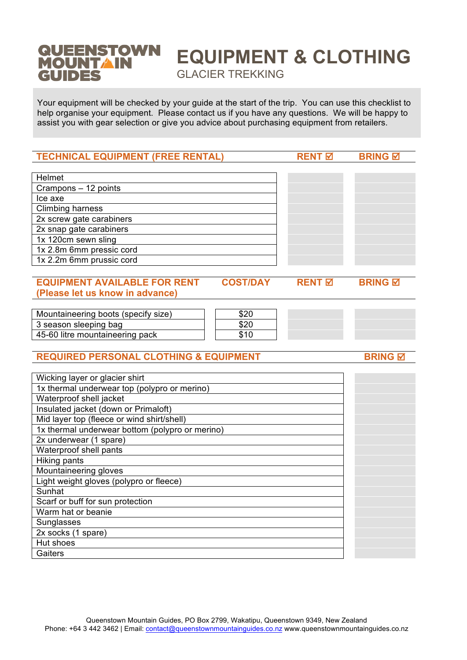#### **QUEENSTOWN EQUIPMENT & CLOTHING MOUNTAIN** GLACIER TREKKING**GUIDES**

Your equipment will be checked by your guide at the start of the trip. You can use this checklist to help organise your equipment. Please contact us if you have any questions. We will be happy to assist you with gear selection or give you advice about purchasing equipment from retailers.

| <b>TECHNICAL EQUIPMENT (FREE RENTAL)</b>               | <b>RENT 区</b>            | <b>BRING M</b> |
|--------------------------------------------------------|--------------------------|----------------|
|                                                        |                          |                |
| Helmet                                                 |                          |                |
| Crampons - 12 points                                   |                          |                |
| Ice axe                                                |                          |                |
| <b>Climbing harness</b>                                |                          |                |
| 2x screw gate carabiners                               |                          |                |
| 2x snap gate carabiners                                |                          |                |
| 1x 120cm sewn sling                                    |                          |                |
| 1x 2.8m 6mm pressic cord                               |                          |                |
| 1x 2.2m 6mm prussic cord                               |                          |                |
|                                                        |                          |                |
| <b>EQUIPMENT AVAILABLE FOR RENT</b><br><b>COST/DAY</b> | <b>RENT</b> <sub>D</sub> | <b>BRING M</b> |
| (Please let us know in advance)                        |                          |                |
|                                                        |                          |                |
| Mountaineering boots (specify size)<br>\$20            |                          |                |
| 3 season sleeping bag<br>\$20                          |                          |                |
| 45-60 litre mountaineering pack<br>\$10                |                          |                |
|                                                        |                          |                |
| <b>REQUIRED PERSONAL CLOTHING &amp; EQUIPMENT</b>      |                          | <b>BRING M</b> |
|                                                        |                          |                |
|                                                        |                          |                |
| Wicking layer or glacier shirt                         |                          |                |
| 1x thermal underwear top (polypro or merino)           |                          |                |
| Waterproof shell jacket                                |                          |                |
| Insulated jacket (down or Primaloft)                   |                          |                |
| Mid layer top (fleece or wind shirt/shell)             |                          |                |
| 1x thermal underwear bottom (polypro or merino)        |                          |                |
| 2x underwear (1 spare)                                 |                          |                |
| Waterproof shell pants                                 |                          |                |
| Hiking pants                                           |                          |                |
| Mountaineering gloves                                  |                          |                |
| Light weight gloves (polypro or fleece)                |                          |                |
| Sunhat                                                 |                          |                |
| Scarf or buff for sun protection                       |                          |                |
| Warm hat or beanie                                     |                          |                |
| Sunglasses                                             |                          |                |
| 2x socks (1 spare)                                     |                          |                |
| Hut shoes                                              |                          |                |